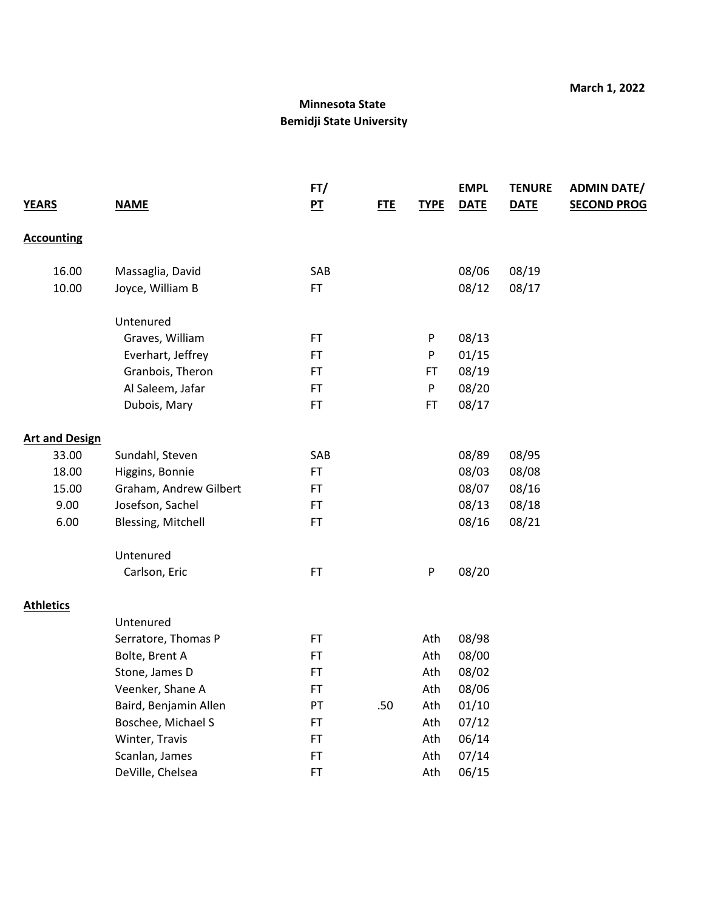|                       |                        | FT/         |            |             | <b>EMPL</b> | <b>TENURE</b> | <b>ADMIN DATE/</b> |
|-----------------------|------------------------|-------------|------------|-------------|-------------|---------------|--------------------|
| <b>YEARS</b>          | <b>NAME</b>            | $P_{\perp}$ | <b>FTE</b> | <b>TYPE</b> | <b>DATE</b> | <b>DATE</b>   | <b>SECOND PROG</b> |
| <b>Accounting</b>     |                        |             |            |             |             |               |                    |
| 16.00                 | Massaglia, David       | SAB         |            |             | 08/06       | 08/19         |                    |
| 10.00                 | Joyce, William B       | <b>FT</b>   |            |             | 08/12       | 08/17         |                    |
|                       | Untenured              |             |            |             |             |               |                    |
|                       | Graves, William        | FT          |            | P           | 08/13       |               |                    |
|                       | Everhart, Jeffrey      | <b>FT</b>   |            | P           | 01/15       |               |                    |
|                       | Granbois, Theron       | FT          |            | FT          | 08/19       |               |                    |
|                       | Al Saleem, Jafar       | <b>FT</b>   |            | P           | 08/20       |               |                    |
|                       | Dubois, Mary           | <b>FT</b>   |            | <b>FT</b>   | 08/17       |               |                    |
| <b>Art and Design</b> |                        |             |            |             |             |               |                    |
| 33.00                 | Sundahl, Steven        | SAB         |            |             | 08/89       | 08/95         |                    |
| 18.00                 | Higgins, Bonnie        | <b>FT</b>   |            |             | 08/03       | 08/08         |                    |
| 15.00                 | Graham, Andrew Gilbert | FT          |            |             | 08/07       | 08/16         |                    |
| 9.00                  | Josefson, Sachel       | <b>FT</b>   |            |             | 08/13       | 08/18         |                    |
| 6.00                  | Blessing, Mitchell     | <b>FT</b>   |            |             | 08/16       | 08/21         |                    |
|                       | Untenured              |             |            |             |             |               |                    |
|                       | Carlson, Eric          | FT          |            | ${\sf P}$   | 08/20       |               |                    |
| <b>Athletics</b>      |                        |             |            |             |             |               |                    |
|                       | Untenured              |             |            |             |             |               |                    |
|                       | Serratore, Thomas P    | <b>FT</b>   |            | Ath         | 08/98       |               |                    |
|                       | Bolte, Brent A         | FT          |            | Ath         | 08/00       |               |                    |
|                       | Stone, James D         | <b>FT</b>   |            | Ath         | 08/02       |               |                    |
|                       | Veenker, Shane A       | FT          |            | Ath         | 08/06       |               |                    |
|                       | Baird, Benjamin Allen  | PT          | .50        | Ath         | 01/10       |               |                    |
|                       | Boschee, Michael S     | <b>FT</b>   |            | Ath         | 07/12       |               |                    |
|                       | Winter, Travis         | FT          |            | Ath         | 06/14       |               |                    |
|                       | Scanlan, James         | <b>FT</b>   |            | Ath         | 07/14       |               |                    |
|                       | DeVille, Chelsea       | FT          |            | Ath         | 06/15       |               |                    |
|                       |                        |             |            |             |             |               |                    |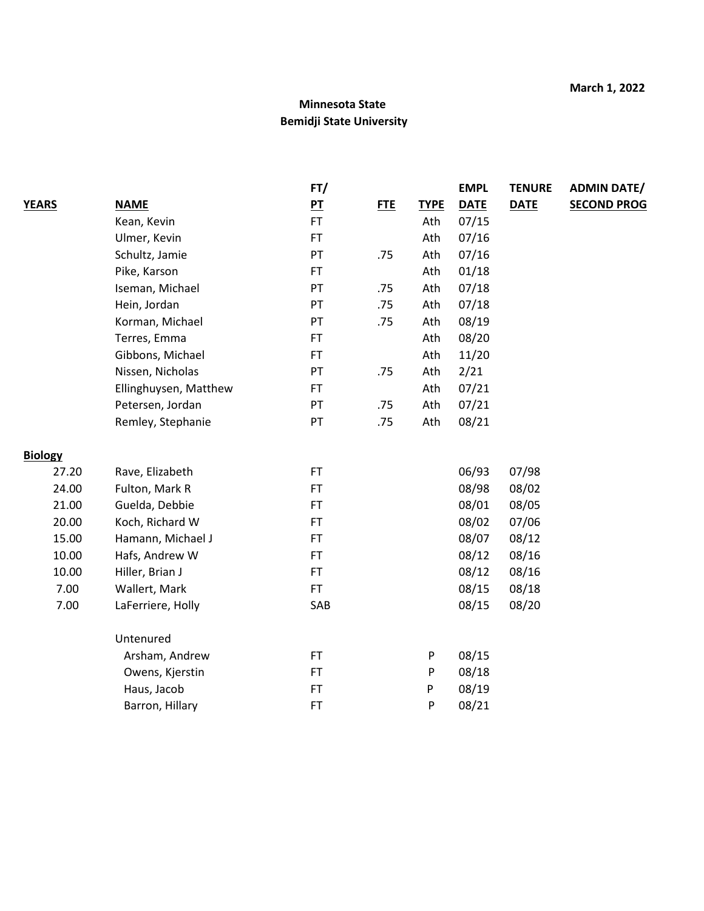|                |                       | FT/            |            |             | <b>EMPL</b> | <b>TENURE</b> | <b>ADMIN DATE/</b> |
|----------------|-----------------------|----------------|------------|-------------|-------------|---------------|--------------------|
| <b>YEARS</b>   | <b>NAME</b>           | P <sub>T</sub> | <b>FTE</b> | <b>TYPE</b> | <b>DATE</b> | <b>DATE</b>   | <b>SECOND PROG</b> |
|                | Kean, Kevin           | FT.            |            | Ath         | 07/15       |               |                    |
|                | Ulmer, Kevin          | FT.            |            | Ath         | 07/16       |               |                    |
|                | Schultz, Jamie        | PT             | .75        | Ath         | 07/16       |               |                    |
|                | Pike, Karson          | <b>FT</b>      |            | Ath         | 01/18       |               |                    |
|                | Iseman, Michael       | PT             | .75        | Ath         | 07/18       |               |                    |
|                | Hein, Jordan          | PT             | .75        | Ath         | 07/18       |               |                    |
|                | Korman, Michael       | PT             | .75        | Ath         | 08/19       |               |                    |
|                | Terres, Emma          | FT.            |            | Ath         | 08/20       |               |                    |
|                | Gibbons, Michael      | FT.            |            | Ath         | 11/20       |               |                    |
|                | Nissen, Nicholas      | PT             | .75        | Ath         | 2/21        |               |                    |
|                | Ellinghuysen, Matthew | <b>FT</b>      |            | Ath         | 07/21       |               |                    |
|                | Petersen, Jordan      | PT             | .75        | Ath         | 07/21       |               |                    |
|                | Remley, Stephanie     | PT             | .75        | Ath         | 08/21       |               |                    |
| <b>Biology</b> |                       |                |            |             |             |               |                    |
| 27.20          | Rave, Elizabeth       | FT.            |            |             | 06/93       | 07/98         |                    |
| 24.00          | Fulton, Mark R        | FT.            |            |             | 08/98       | 08/02         |                    |
| 21.00          | Guelda, Debbie        | FT.            |            |             | 08/01       | 08/05         |                    |
| 20.00          | Koch, Richard W       | FT.            |            |             | 08/02       | 07/06         |                    |
| 15.00          | Hamann, Michael J     | FT             |            |             | 08/07       | 08/12         |                    |
| 10.00          | Hafs, Andrew W        | <b>FT</b>      |            |             | 08/12       | 08/16         |                    |
| 10.00          | Hiller, Brian J       | <b>FT</b>      |            |             | 08/12       | 08/16         |                    |
| 7.00           | Wallert, Mark         | FT.            |            |             | 08/15       | 08/18         |                    |
| 7.00           | LaFerriere, Holly     | SAB            |            |             | 08/15       | 08/20         |                    |
|                | Untenured             |                |            |             |             |               |                    |
|                | Arsham, Andrew        | FT.            |            | P           | 08/15       |               |                    |
|                | Owens, Kjerstin       | <b>FT</b>      |            | P           | 08/18       |               |                    |
|                | Haus, Jacob           | <b>FT</b>      |            | P           | 08/19       |               |                    |
|                | Barron, Hillary       | <b>FT</b>      |            | P           | 08/21       |               |                    |
|                |                       |                |            |             |             |               |                    |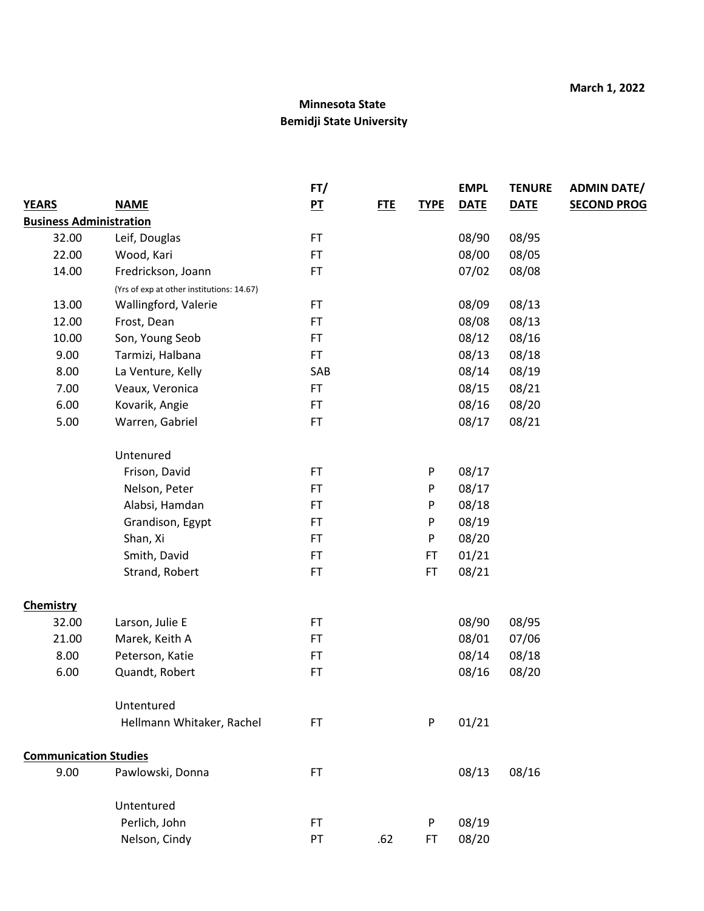|                                |                                           | FT/            |            |             | <b>EMPL</b> | <b>TENURE</b> | <b>ADMIN DATE/</b> |
|--------------------------------|-------------------------------------------|----------------|------------|-------------|-------------|---------------|--------------------|
| <b>YEARS</b>                   | <b>NAME</b>                               | P <sub>T</sub> | <b>FTE</b> | <b>TYPE</b> | <b>DATE</b> | <b>DATE</b>   | <b>SECOND PROG</b> |
| <b>Business Administration</b> |                                           |                |            |             |             |               |                    |
| 32.00                          | Leif, Douglas                             | FT             |            |             | 08/90       | 08/95         |                    |
| 22.00                          | Wood, Kari                                | FT             |            |             | 08/00       | 08/05         |                    |
| 14.00                          | Fredrickson, Joann                        | <b>FT</b>      |            |             | 07/02       | 08/08         |                    |
|                                | (Yrs of exp at other institutions: 14.67) |                |            |             |             |               |                    |
| 13.00                          | Wallingford, Valerie                      | FT             |            |             | 08/09       | 08/13         |                    |
| 12.00                          | Frost, Dean                               | FT             |            |             | 08/08       | 08/13         |                    |
| 10.00                          | Son, Young Seob                           | FT             |            |             | 08/12       | 08/16         |                    |
| 9.00                           | Tarmizi, Halbana                          | <b>FT</b>      |            |             | 08/13       | 08/18         |                    |
| 8.00                           | La Venture, Kelly                         | SAB            |            |             | 08/14       | 08/19         |                    |
| 7.00                           | Veaux, Veronica                           | FT             |            |             | 08/15       | 08/21         |                    |
| 6.00                           | Kovarik, Angie                            | FT             |            |             | 08/16       | 08/20         |                    |
| 5.00                           | Warren, Gabriel                           | FT             |            |             | 08/17       | 08/21         |                    |
|                                | Untenured                                 |                |            |             |             |               |                    |
|                                | Frison, David                             | FT             |            | P           | 08/17       |               |                    |
|                                | Nelson, Peter                             | <b>FT</b>      |            | P           | 08/17       |               |                    |
|                                | Alabsi, Hamdan                            | <b>FT</b>      |            | P           | 08/18       |               |                    |
|                                | Grandison, Egypt                          | FT             |            | P           | 08/19       |               |                    |
|                                | Shan, Xi                                  | FT.            |            | P           | 08/20       |               |                    |
|                                | Smith, David                              | FT             |            | <b>FT</b>   | 01/21       |               |                    |
|                                | Strand, Robert                            | FT             |            | <b>FT</b>   | 08/21       |               |                    |
| <b>Chemistry</b>               |                                           |                |            |             |             |               |                    |
| 32.00                          | Larson, Julie E                           | FT             |            |             | 08/90       | 08/95         |                    |
| 21.00                          | Marek, Keith A                            | FT             |            |             | 08/01       | 07/06         |                    |
| 8.00                           | Peterson, Katie                           | FT.            |            |             | 08/14       | 08/18         |                    |
| 6.00                           | Quandt, Robert                            | FT             |            |             | 08/16       | 08/20         |                    |
|                                | Untentured                                |                |            |             |             |               |                    |
|                                | Hellmann Whitaker, Rachel                 | <b>FT</b>      |            | P           | 01/21       |               |                    |
| <b>Communication Studies</b>   |                                           |                |            |             |             |               |                    |
| 9.00                           | Pawlowski, Donna                          | FT.            |            |             | 08/13       | 08/16         |                    |
|                                | Untentured                                |                |            |             |             |               |                    |
|                                | Perlich, John                             | FT.            |            | P           | 08/19       |               |                    |
|                                | Nelson, Cindy                             | PT             | .62        | FT          | 08/20       |               |                    |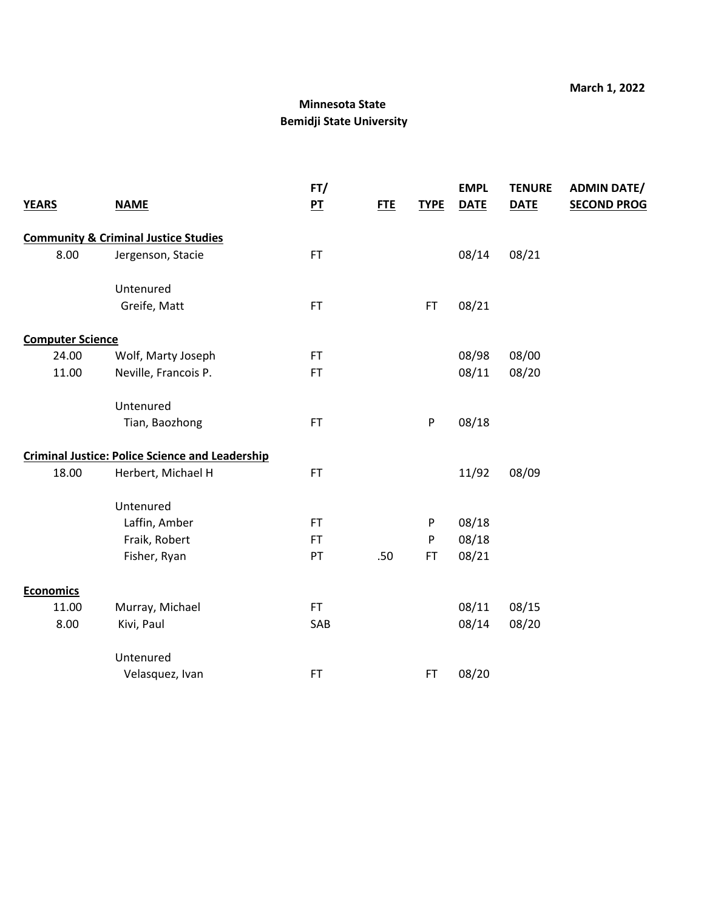| <b>YEARS</b>            | <b>NAME</b>                                            | FT/<br>P <sub>T</sub> | <b>FTE</b> | <b>TYPE</b> | <b>EMPL</b><br><b>DATE</b> | <b>TENURE</b><br><b>DATE</b> | <b>ADMIN DATE/</b><br><b>SECOND PROG</b> |
|-------------------------|--------------------------------------------------------|-----------------------|------------|-------------|----------------------------|------------------------------|------------------------------------------|
|                         | <b>Community &amp; Criminal Justice Studies</b>        |                       |            |             |                            |                              |                                          |
| 8.00                    | Jergenson, Stacie                                      | <b>FT</b>             |            |             | 08/14                      | 08/21                        |                                          |
|                         | Untenured                                              |                       |            |             |                            |                              |                                          |
|                         | Greife, Matt                                           | <b>FT</b>             |            | <b>FT</b>   | 08/21                      |                              |                                          |
| <b>Computer Science</b> |                                                        |                       |            |             |                            |                              |                                          |
| 24.00                   | Wolf, Marty Joseph                                     | <b>FT</b>             |            |             | 08/98                      | 08/00                        |                                          |
| 11.00                   | Neville, Francois P.                                   | <b>FT</b>             |            |             | 08/11                      | 08/20                        |                                          |
|                         | Untenured                                              |                       |            |             |                            |                              |                                          |
|                         | Tian, Baozhong                                         | <b>FT</b>             |            | P           | 08/18                      |                              |                                          |
|                         | <b>Criminal Justice: Police Science and Leadership</b> |                       |            |             |                            |                              |                                          |
| 18.00                   | Herbert, Michael H                                     | FT.                   |            |             | 11/92                      | 08/09                        |                                          |
|                         | Untenured                                              |                       |            |             |                            |                              |                                          |
|                         | Laffin, Amber                                          | <b>FT</b>             |            | P           | 08/18                      |                              |                                          |
|                         | Fraik, Robert                                          | <b>FT</b>             |            | P           | 08/18                      |                              |                                          |
|                         | Fisher, Ryan                                           | PT                    | .50        | <b>FT</b>   | 08/21                      |                              |                                          |
| <b>Economics</b>        |                                                        |                       |            |             |                            |                              |                                          |
| 11.00                   | Murray, Michael                                        | FT.                   |            |             | 08/11                      | 08/15                        |                                          |
| 8.00                    | Kivi, Paul                                             | SAB                   |            |             | 08/14                      | 08/20                        |                                          |
|                         | Untenured                                              |                       |            |             |                            |                              |                                          |
|                         | Velasquez, Ivan                                        | <b>FT</b>             |            | <b>FT</b>   | 08/20                      |                              |                                          |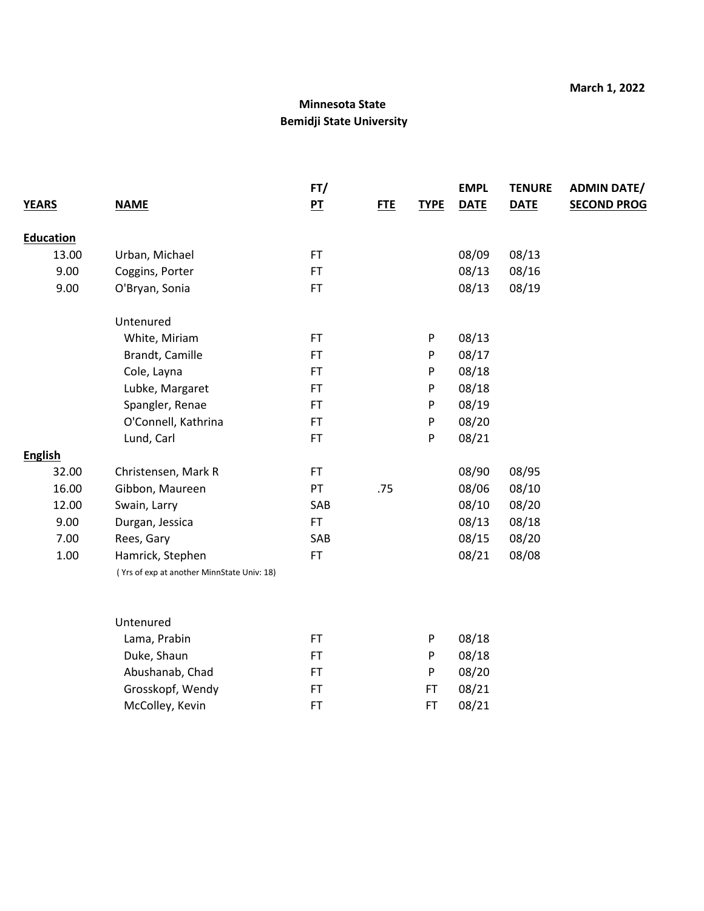|                  |                                            | FT/            |            |             | <b>EMPL</b> | <b>TENURE</b> | <b>ADMIN DATE/</b> |
|------------------|--------------------------------------------|----------------|------------|-------------|-------------|---------------|--------------------|
| <b>YEARS</b>     | <b>NAME</b>                                | P <sub>T</sub> | <b>FTE</b> | <b>TYPE</b> | <b>DATE</b> | <b>DATE</b>   | <b>SECOND PROG</b> |
|                  |                                            |                |            |             |             |               |                    |
| <b>Education</b> |                                            |                |            |             |             |               |                    |
| 13.00            | Urban, Michael                             | FT             |            |             | 08/09       | 08/13         |                    |
| 9.00             | Coggins, Porter                            | <b>FT</b>      |            |             | 08/13       | 08/16         |                    |
| 9.00             | O'Bryan, Sonia                             | FT.            |            |             | 08/13       | 08/19         |                    |
|                  | Untenured                                  |                |            |             |             |               |                    |
|                  | White, Miriam                              | <b>FT</b>      |            | P           | 08/13       |               |                    |
|                  | Brandt, Camille                            | <b>FT</b>      |            | P           | 08/17       |               |                    |
|                  | Cole, Layna                                | <b>FT</b>      |            | P           | 08/18       |               |                    |
|                  | Lubke, Margaret                            | <b>FT</b>      |            | ${\sf P}$   | 08/18       |               |                    |
|                  | Spangler, Renae                            | <b>FT</b>      |            | P           | 08/19       |               |                    |
|                  | O'Connell, Kathrina                        | <b>FT</b>      |            | P           | 08/20       |               |                    |
|                  | Lund, Carl                                 | <b>FT</b>      |            | P           | 08/21       |               |                    |
| <b>English</b>   |                                            |                |            |             |             |               |                    |
| 32.00            | Christensen, Mark R                        | FT.            |            |             | 08/90       | 08/95         |                    |
| 16.00            | Gibbon, Maureen                            | PT             | .75        |             | 08/06       | 08/10         |                    |
| 12.00            | Swain, Larry                               | SAB            |            |             | 08/10       | 08/20         |                    |
| 9.00             | Durgan, Jessica                            | FT.            |            |             | 08/13       | 08/18         |                    |
| 7.00             | Rees, Gary                                 | SAB            |            |             | 08/15       | 08/20         |                    |
| 1.00             | Hamrick, Stephen                           | FT.            |            |             | 08/21       | 08/08         |                    |
|                  | (Yrs of exp at another MinnState Univ: 18) |                |            |             |             |               |                    |
|                  |                                            |                |            |             |             |               |                    |
|                  | Untenured                                  |                |            |             |             |               |                    |
|                  | Lama, Prabin                               | <b>FT</b>      |            | P           | 08/18       |               |                    |
|                  | Duke, Shaun                                | <b>FT</b>      |            | P           | 08/18       |               |                    |
|                  | Abushanab, Chad                            | <b>FT</b>      |            | P           | 08/20       |               |                    |
|                  | Grosskopf, Wendy                           | <b>FT</b>      |            | <b>FT</b>   | 08/21       |               |                    |
|                  | McColley, Kevin                            | <b>FT</b>      |            | <b>FT</b>   | 08/21       |               |                    |
|                  |                                            |                |            |             |             |               |                    |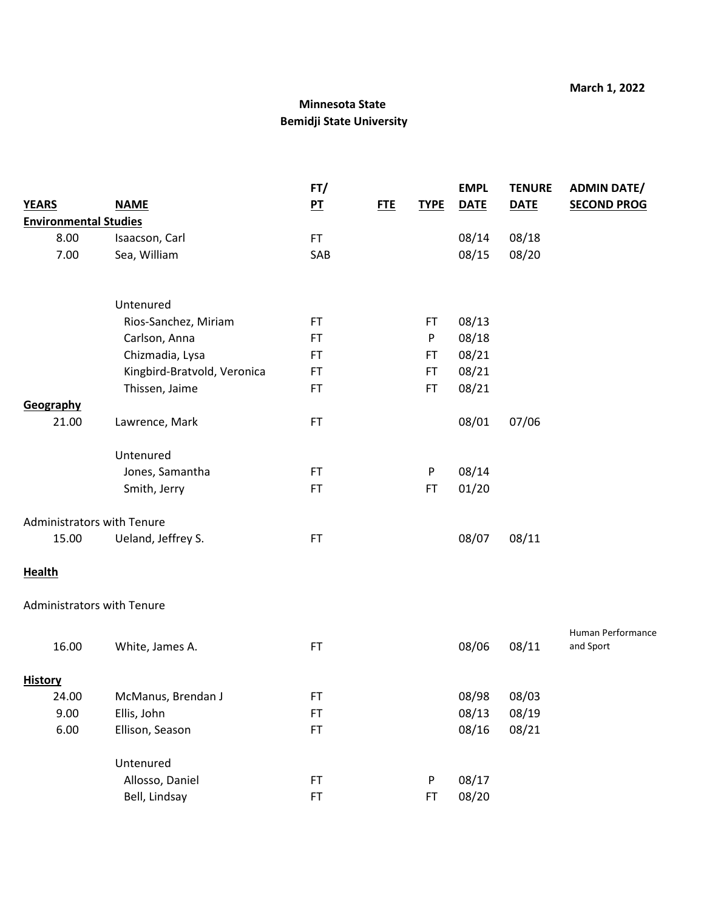|                                   |                             | FT/            |     |             | <b>EMPL</b> | <b>TENURE</b> | <b>ADMIN DATE/</b>             |
|-----------------------------------|-----------------------------|----------------|-----|-------------|-------------|---------------|--------------------------------|
| <b>YEARS</b>                      | <b>NAME</b>                 | P <sub>T</sub> | FTE | <b>TYPE</b> | <b>DATE</b> | <b>DATE</b>   | <b>SECOND PROG</b>             |
| <b>Environmental Studies</b>      |                             |                |     |             |             |               |                                |
| 8.00                              | Isaacson, Carl              | FT.            |     |             | 08/14       | 08/18         |                                |
| 7.00                              | Sea, William                | SAB            |     |             | 08/15       | 08/20         |                                |
|                                   | Untenured                   |                |     |             |             |               |                                |
|                                   | Rios-Sanchez, Miriam        | FT.            |     | FT          | 08/13       |               |                                |
|                                   | Carlson, Anna               | FT.            |     | P           | 08/18       |               |                                |
|                                   | Chizmadia, Lysa             | FT.            |     | <b>FT</b>   | 08/21       |               |                                |
|                                   | Kingbird-Bratvold, Veronica | FT             |     | <b>FT</b>   | 08/21       |               |                                |
|                                   | Thissen, Jaime              | FT             |     | <b>FT</b>   | 08/21       |               |                                |
| Geography                         |                             |                |     |             |             |               |                                |
| 21.00                             | Lawrence, Mark              | FT             |     |             | 08/01       | 07/06         |                                |
|                                   | Untenured                   |                |     |             |             |               |                                |
|                                   | Jones, Samantha             | FT.            |     | P           | 08/14       |               |                                |
|                                   | Smith, Jerry                | FT             |     | FT          | 01/20       |               |                                |
| <b>Administrators with Tenure</b> |                             |                |     |             |             |               |                                |
| 15.00                             | Ueland, Jeffrey S.          | FT             |     |             | 08/07       | 08/11         |                                |
| <b>Health</b>                     |                             |                |     |             |             |               |                                |
| <b>Administrators with Tenure</b> |                             |                |     |             |             |               |                                |
| 16.00                             | White, James A.             | <b>FT</b>      |     |             | 08/06       | 08/11         | Human Performance<br>and Sport |
| <b>History</b>                    |                             |                |     |             |             |               |                                |
| 24.00                             | McManus, Brendan J          | FT.            |     |             | 08/98       | 08/03         |                                |
| 9.00                              | Ellis, John                 | FT             |     |             | 08/13       | 08/19         |                                |
| 6.00                              | Ellison, Season             | FT             |     |             | 08/16       | 08/21         |                                |
|                                   | Untenured                   |                |     |             |             |               |                                |
|                                   | Allosso, Daniel             | FT             |     | P           | 08/17       |               |                                |
|                                   | Bell, Lindsay               | FT             |     | <b>FT</b>   | 08/20       |               |                                |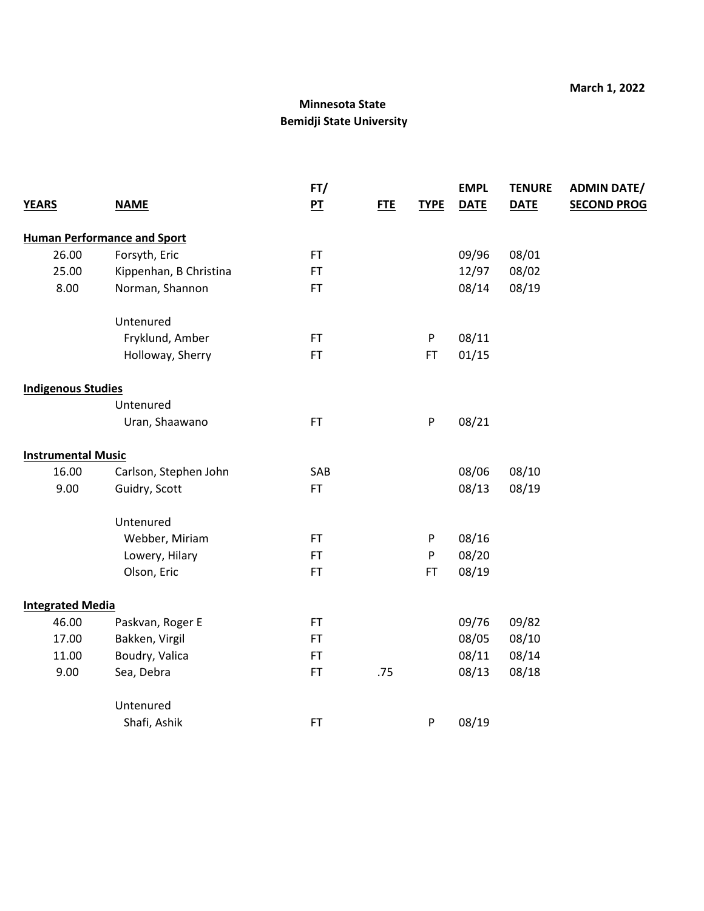|                           |                                    | FT/       |            |             | <b>EMPL</b> | <b>TENURE</b> | <b>ADMIN DATE/</b> |
|---------------------------|------------------------------------|-----------|------------|-------------|-------------|---------------|--------------------|
| <b>YEARS</b>              | <b>NAME</b>                        | $P$ T     | <b>FTE</b> | <b>TYPE</b> | <b>DATE</b> | <b>DATE</b>   | <b>SECOND PROG</b> |
|                           | <b>Human Performance and Sport</b> |           |            |             |             |               |                    |
| 26.00                     | Forsyth, Eric                      | FT.       |            |             | 09/96       | 08/01         |                    |
| 25.00                     | Kippenhan, B Christina             | FT.       |            |             | 12/97       | 08/02         |                    |
| 8.00                      | Norman, Shannon                    | FT.       |            |             | 08/14       | 08/19         |                    |
|                           | Untenured                          |           |            |             |             |               |                    |
|                           | Fryklund, Amber                    | FT.       |            | P           | 08/11       |               |                    |
|                           | Holloway, Sherry                   | FT.       |            | <b>FT</b>   | 01/15       |               |                    |
| <b>Indigenous Studies</b> |                                    |           |            |             |             |               |                    |
|                           | Untenured                          |           |            |             |             |               |                    |
|                           | Uran, Shaawano                     | FT.       |            | ${\sf P}$   | 08/21       |               |                    |
| <b>Instrumental Music</b> |                                    |           |            |             |             |               |                    |
| 16.00                     | Carlson, Stephen John              | SAB       |            |             | 08/06       | 08/10         |                    |
| 9.00                      | Guidry, Scott                      | FT.       |            |             | 08/13       | 08/19         |                    |
|                           | Untenured                          |           |            |             |             |               |                    |
|                           | Webber, Miriam                     | FT.       |            | P           | 08/16       |               |                    |
|                           | Lowery, Hilary                     | FT.       |            | P           | 08/20       |               |                    |
|                           | Olson, Eric                        | <b>FT</b> |            | FT          | 08/19       |               |                    |
| <b>Integrated Media</b>   |                                    |           |            |             |             |               |                    |
| 46.00                     | Paskvan, Roger E                   | FT.       |            |             | 09/76       | 09/82         |                    |
| 17.00                     | Bakken, Virgil                     | <b>FT</b> |            |             | 08/05       | 08/10         |                    |
| 11.00                     | Boudry, Valica                     | FT.       |            |             | 08/11       | 08/14         |                    |
| 9.00                      | Sea, Debra                         | <b>FT</b> | .75        |             | 08/13       | 08/18         |                    |
|                           | Untenured                          |           |            |             |             |               |                    |
|                           | Shafi, Ashik                       | FT        |            | P           | 08/19       |               |                    |
|                           |                                    |           |            |             |             |               |                    |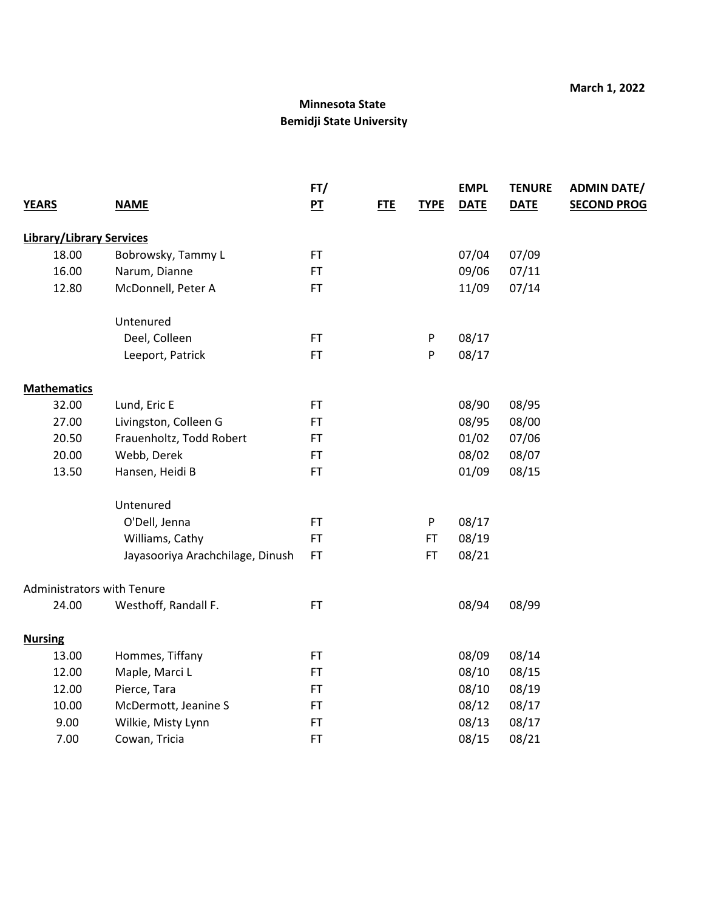|                                   |                                  | FT/       |            |             | <b>EMPL</b> | <b>TENURE</b> | <b>ADMIN DATE/</b> |
|-----------------------------------|----------------------------------|-----------|------------|-------------|-------------|---------------|--------------------|
| <b>YEARS</b>                      | <b>NAME</b>                      | $P$ T     | <b>FTE</b> | <b>TYPE</b> | <b>DATE</b> | <b>DATE</b>   | <b>SECOND PROG</b> |
|                                   |                                  |           |            |             |             |               |                    |
| <b>Library/Library Services</b>   |                                  |           |            |             |             |               |                    |
| 18.00                             | Bobrowsky, Tammy L               | <b>FT</b> |            |             | 07/04       | 07/09         |                    |
| 16.00                             | Narum, Dianne                    | <b>FT</b> |            |             | 09/06       | 07/11         |                    |
| 12.80                             | McDonnell, Peter A               | <b>FT</b> |            |             | 11/09       | 07/14         |                    |
|                                   | Untenured                        |           |            |             |             |               |                    |
|                                   | Deel, Colleen                    | <b>FT</b> |            | P           | 08/17       |               |                    |
|                                   | Leeport, Patrick                 | <b>FT</b> |            | ${\sf P}$   | 08/17       |               |                    |
| <b>Mathematics</b>                |                                  |           |            |             |             |               |                    |
| 32.00                             | Lund, Eric E                     | <b>FT</b> |            |             | 08/90       | 08/95         |                    |
| 27.00                             | Livingston, Colleen G            | <b>FT</b> |            |             | 08/95       | 08/00         |                    |
| 20.50                             | Frauenholtz, Todd Robert         | <b>FT</b> |            |             | 01/02       | 07/06         |                    |
| 20.00                             | Webb, Derek                      | <b>FT</b> |            |             | 08/02       | 08/07         |                    |
| 13.50                             | Hansen, Heidi B                  | <b>FT</b> |            |             | 01/09       | 08/15         |                    |
|                                   | Untenured                        |           |            |             |             |               |                    |
|                                   | O'Dell, Jenna                    | <b>FT</b> |            | P           | 08/17       |               |                    |
|                                   | Williams, Cathy                  | <b>FT</b> |            | FT          | 08/19       |               |                    |
|                                   | Jayasooriya Arachchilage, Dinush | <b>FT</b> |            | FT.         | 08/21       |               |                    |
| <b>Administrators with Tenure</b> |                                  |           |            |             |             |               |                    |
| 24.00                             | Westhoff, Randall F.             | <b>FT</b> |            |             | 08/94       | 08/99         |                    |
| <b>Nursing</b>                    |                                  |           |            |             |             |               |                    |
| 13.00                             | Hommes, Tiffany                  | <b>FT</b> |            |             | 08/09       | 08/14         |                    |
| 12.00                             | Maple, Marci L                   | <b>FT</b> |            |             | 08/10       | 08/15         |                    |
| 12.00                             | Pierce, Tara                     | <b>FT</b> |            |             | 08/10       | 08/19         |                    |
| 10.00                             | McDermott, Jeanine S             | <b>FT</b> |            |             | 08/12       | 08/17         |                    |
| 9.00                              | Wilkie, Misty Lynn               | <b>FT</b> |            |             | 08/13       | 08/17         |                    |
| 7.00                              | Cowan, Tricia                    | FT        |            |             | 08/15       | 08/21         |                    |
|                                   |                                  |           |            |             |             |               |                    |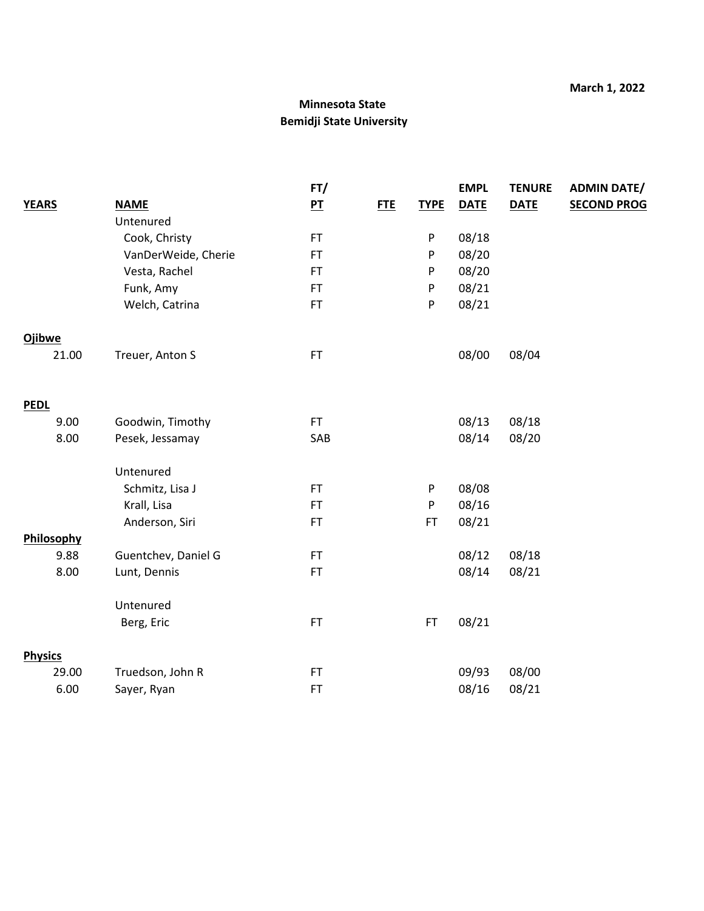|                |                     | FT/            |            |             | <b>EMPL</b> | <b>TENURE</b> | <b>ADMIN DATE/</b> |
|----------------|---------------------|----------------|------------|-------------|-------------|---------------|--------------------|
| <b>YEARS</b>   | <b>NAME</b>         | P <sub>T</sub> | <b>FTE</b> | <b>TYPE</b> | <b>DATE</b> | <b>DATE</b>   | <b>SECOND PROG</b> |
|                | Untenured           |                |            |             |             |               |                    |
|                | Cook, Christy       | FT             |            | P           | 08/18       |               |                    |
|                | VanDerWeide, Cherie | <b>FT</b>      |            | P           | 08/20       |               |                    |
|                | Vesta, Rachel       | <b>FT</b>      |            | P           | 08/20       |               |                    |
|                | Funk, Amy           | <b>FT</b>      |            | P           | 08/21       |               |                    |
|                | Welch, Catrina      | <b>FT</b>      |            | ${\sf P}$   | 08/21       |               |                    |
| <b>Ojibwe</b>  |                     |                |            |             |             |               |                    |
| 21.00          | Treuer, Anton S     | FT             |            |             | 08/00       | 08/04         |                    |
| <b>PEDL</b>    |                     |                |            |             |             |               |                    |
| 9.00           | Goodwin, Timothy    | FT.            |            |             | 08/13       | 08/18         |                    |
| 8.00           | Pesek, Jessamay     | SAB            |            |             | 08/14       | 08/20         |                    |
|                | Untenured           |                |            |             |             |               |                    |
|                | Schmitz, Lisa J     | <b>FT</b>      |            | P           | 08/08       |               |                    |
|                | Krall, Lisa         | <b>FT</b>      |            | P           | 08/16       |               |                    |
|                | Anderson, Siri      | <b>FT</b>      |            | FT.         | 08/21       |               |                    |
| Philosophy     |                     |                |            |             |             |               |                    |
| 9.88           | Guentchev, Daniel G | <b>FT</b>      |            |             | 08/12       | 08/18         |                    |
| 8.00           | Lunt, Dennis        | <b>FT</b>      |            |             | 08/14       | 08/21         |                    |
|                | Untenured           |                |            |             |             |               |                    |
|                | Berg, Eric          | FT             |            | FT          | 08/21       |               |                    |
| <b>Physics</b> |                     |                |            |             |             |               |                    |
| 29.00          | Truedson, John R    | FT             |            |             | 09/93       | 08/00         |                    |
| 6.00           | Sayer, Ryan         | FT             |            |             | 08/16       | 08/21         |                    |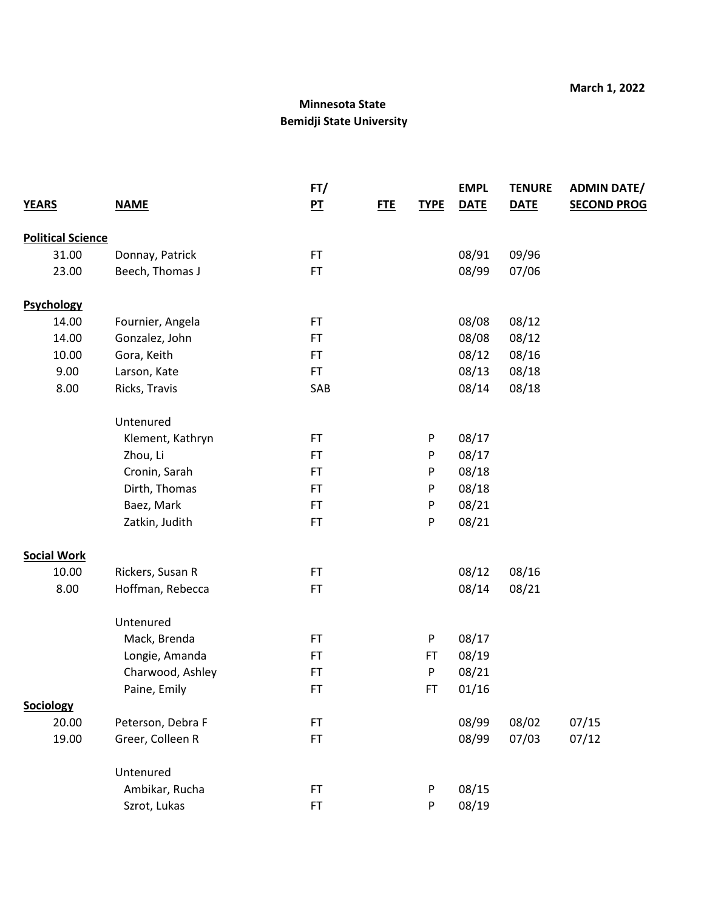|                          |                   | FT/            |            |             | <b>EMPL</b> | <b>TENURE</b> | <b>ADMIN DATE/</b> |
|--------------------------|-------------------|----------------|------------|-------------|-------------|---------------|--------------------|
| <b>YEARS</b>             | <b>NAME</b>       | P <sub>T</sub> | <b>FTE</b> | <b>TYPE</b> | <b>DATE</b> | <b>DATE</b>   | <b>SECOND PROG</b> |
| <b>Political Science</b> |                   |                |            |             |             |               |                    |
| 31.00                    | Donnay, Patrick   | FT             |            |             | 08/91       | 09/96         |                    |
| 23.00                    | Beech, Thomas J   | FT.            |            |             | 08/99       | 07/06         |                    |
| <b>Psychology</b>        |                   |                |            |             |             |               |                    |
| 14.00                    | Fournier, Angela  | FT             |            |             | 08/08       | 08/12         |                    |
| 14.00                    | Gonzalez, John    | <b>FT</b>      |            |             | 08/08       | 08/12         |                    |
| 10.00                    | Gora, Keith       | FT.            |            |             | 08/12       | 08/16         |                    |
| 9.00                     | Larson, Kate      | FT             |            |             | 08/13       | 08/18         |                    |
| 8.00                     | Ricks, Travis     | SAB            |            |             | 08/14       | 08/18         |                    |
|                          | Untenured         |                |            |             |             |               |                    |
|                          | Klement, Kathryn  | FT.            |            | P           | 08/17       |               |                    |
|                          | Zhou, Li          | <b>FT</b>      |            | P           | 08/17       |               |                    |
|                          | Cronin, Sarah     | FT             |            | P           | 08/18       |               |                    |
|                          | Dirth, Thomas     | FT             |            | P           | 08/18       |               |                    |
|                          | Baez, Mark        | FT.            |            | P           | 08/21       |               |                    |
|                          | Zatkin, Judith    | FT             |            | P           | 08/21       |               |                    |
| <b>Social Work</b>       |                   |                |            |             |             |               |                    |
| 10.00                    | Rickers, Susan R  | FT             |            |             | 08/12       | 08/16         |                    |
| 8.00                     | Hoffman, Rebecca  | FT.            |            |             | 08/14       | 08/21         |                    |
|                          | Untenured         |                |            |             |             |               |                    |
|                          | Mack, Brenda      | FT             |            | P           | 08/17       |               |                    |
|                          | Longie, Amanda    | FT.            |            | FT          | 08/19       |               |                    |
|                          | Charwood, Ashley  | FT.            |            | P           | 08/21       |               |                    |
|                          | Paine, Emily      | <b>FT</b>      |            | <b>FT</b>   | 01/16       |               |                    |
| Sociology                |                   |                |            |             |             |               |                    |
| 20.00                    | Peterson, Debra F | FT.            |            |             | 08/99       | 08/02         | 07/15              |
| 19.00                    | Greer, Colleen R  | FT.            |            |             | 08/99       | 07/03         | 07/12              |
|                          | Untenured         |                |            |             |             |               |                    |
|                          | Ambikar, Rucha    | FT             |            | P           | 08/15       |               |                    |
|                          | Szrot, Lukas      | FT             |            | P           | 08/19       |               |                    |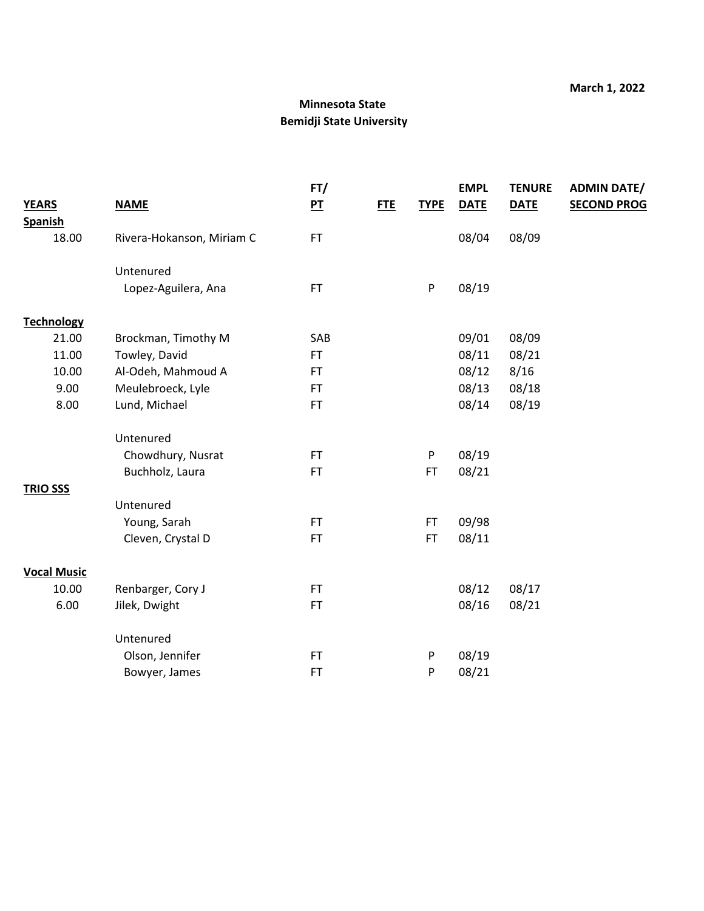|                    |                           | FT/            |            |             | <b>EMPL</b> | <b>TENURE</b> | <b>ADMIN DATE/</b> |
|--------------------|---------------------------|----------------|------------|-------------|-------------|---------------|--------------------|
| <b>YEARS</b>       | <b>NAME</b>               | P <sub>T</sub> | <b>FTE</b> | <b>TYPE</b> | <b>DATE</b> | <b>DATE</b>   | <b>SECOND PROG</b> |
| <b>Spanish</b>     |                           |                |            |             |             |               |                    |
| 18.00              | Rivera-Hokanson, Miriam C | <b>FT</b>      |            |             | 08/04       | 08/09         |                    |
|                    | Untenured                 |                |            |             |             |               |                    |
|                    | Lopez-Aguilera, Ana       | <b>FT</b>      |            | P           | 08/19       |               |                    |
| <b>Technology</b>  |                           |                |            |             |             |               |                    |
| 21.00              | Brockman, Timothy M       | SAB            |            |             | 09/01       | 08/09         |                    |
| 11.00              | Towley, David             | FT.            |            |             | 08/11       | 08/21         |                    |
| 10.00              | Al-Odeh, Mahmoud A        | <b>FT</b>      |            |             | 08/12       | 8/16          |                    |
| 9.00               | Meulebroeck, Lyle         | <b>FT</b>      |            |             | 08/13       | 08/18         |                    |
| 8.00               | Lund, Michael             | <b>FT</b>      |            |             | 08/14       | 08/19         |                    |
|                    | Untenured                 |                |            |             |             |               |                    |
|                    | Chowdhury, Nusrat         | <b>FT</b>      |            | P           | 08/19       |               |                    |
|                    | Buchholz, Laura           | <b>FT</b>      |            | <b>FT</b>   | 08/21       |               |                    |
| <b>TRIO SSS</b>    |                           |                |            |             |             |               |                    |
|                    | Untenured                 |                |            |             |             |               |                    |
|                    | Young, Sarah              | <b>FT</b>      |            | <b>FT</b>   | 09/98       |               |                    |
|                    | Cleven, Crystal D         | <b>FT</b>      |            | <b>FT</b>   | 08/11       |               |                    |
| <b>Vocal Music</b> |                           |                |            |             |             |               |                    |
| 10.00              | Renbarger, Cory J         | <b>FT</b>      |            |             | 08/12       | 08/17         |                    |
| 6.00               | Jilek, Dwight             | FT.            |            |             | 08/16       | 08/21         |                    |
|                    | Untenured                 |                |            |             |             |               |                    |
|                    | Olson, Jennifer           | <b>FT</b>      |            | P           | 08/19       |               |                    |
|                    | Bowyer, James             | <b>FT</b>      |            | P           | 08/21       |               |                    |